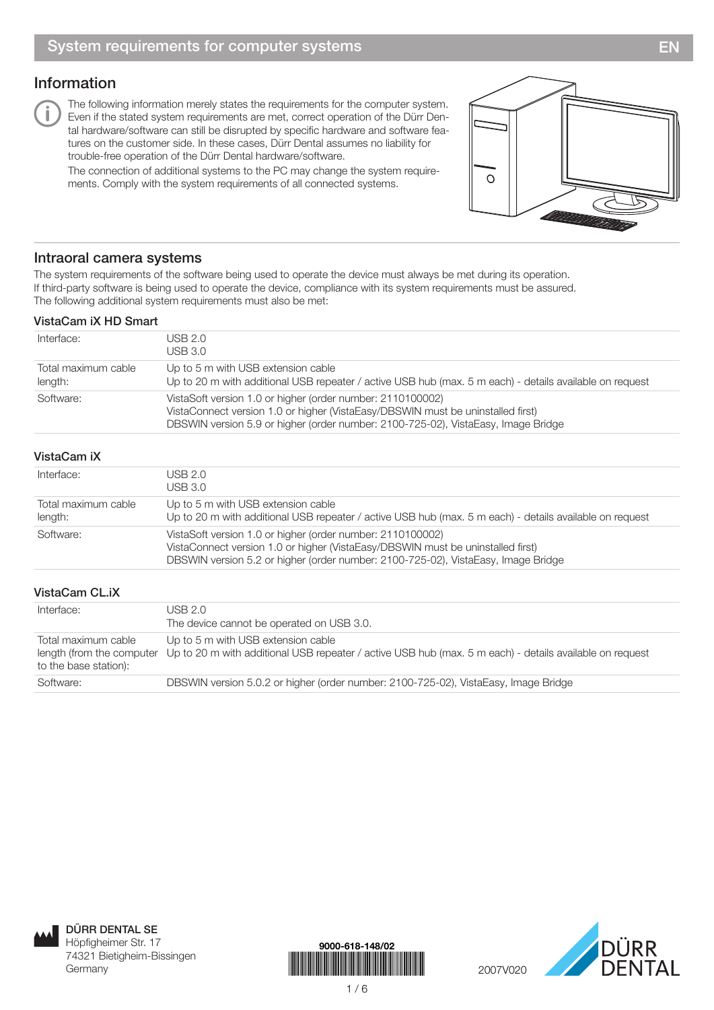# Information

The following information merely states the requirements for the computer system. Even if the stated system requirements are met, correct operation of the Dürr Dental hardware/software can still be disrupted by specific hardware and software features on the customer side. In these cases, Dürr Dental assumes no liability for trouble-free operation of the Dürr Dental hardware/software.

The connection of additional systems to the PC may change the system requirements. Comply with the system requirements of all connected systems.



## Intraoral camera systems

The system requirements of the software being used to operate the device must always be met during its operation. If third-party software is being used to operate the device, compliance with its system requirements must be assured. The following additional system requirements must also be met:

#### VistaCam iX HD Smart

| Interface:                     | USB 2.0<br>USB 3.0                                                                                                                                                                                                                 |
|--------------------------------|------------------------------------------------------------------------------------------------------------------------------------------------------------------------------------------------------------------------------------|
| Total maximum cable<br>length: | Up to 5 m with USB extension cable<br>Up to 20 m with additional USB repeater / active USB hub (max. 5 m each) - details available on request                                                                                      |
| Software:                      | VistaSoft version 1.0 or higher (order number: 2110100002)<br>VistaConnect version 1.0 or higher (VistaEasy/DBSWIN must be uninstalled first)<br>DBSWIN version 5.9 or higher (order number: 2100-725-02), VistaEasy, Image Bridge |

## VistaCam iX

| Interface:                     | USB 2.0<br>USB 3.0                                                                                                                                                                                                                 |
|--------------------------------|------------------------------------------------------------------------------------------------------------------------------------------------------------------------------------------------------------------------------------|
| Total maximum cable<br>length: | Up to 5 m with USB extension cable<br>Up to 20 m with additional USB repeater / active USB hub (max. 5 m each) - details available on request                                                                                      |
| Software:                      | VistaSoft version 1.0 or higher (order number: 2110100002)<br>VistaConnect version 1.0 or higher (VistaEasy/DBSWIN must be uninstalled first)<br>DBSWIN version 5.2 or higher (order number: 2100-725-02), VistaEasy, Image Bridge |

### VistaCam CL.iX

| Interface:                                   | USB 2.0<br>The device cannot be operated on USB 3.0.                                                                                                                    |
|----------------------------------------------|-------------------------------------------------------------------------------------------------------------------------------------------------------------------------|
| Total maximum cable<br>to the base station): | Up to 5 m with USB extension cable<br>length (from the computer Up to 20 m with additional USB repeater / active USB hub (max. 5 m each) - details available on request |
| Software:                                    | DBSWIN version 5.0.2 or higher (order number: 2100-725-02), VistaEasy, Image Bridge                                                                                     |



DÜRR DENTAL SE Höpfigheimer Str. 17 74321 Bietigheim-Bissingen Germany



1 / 6

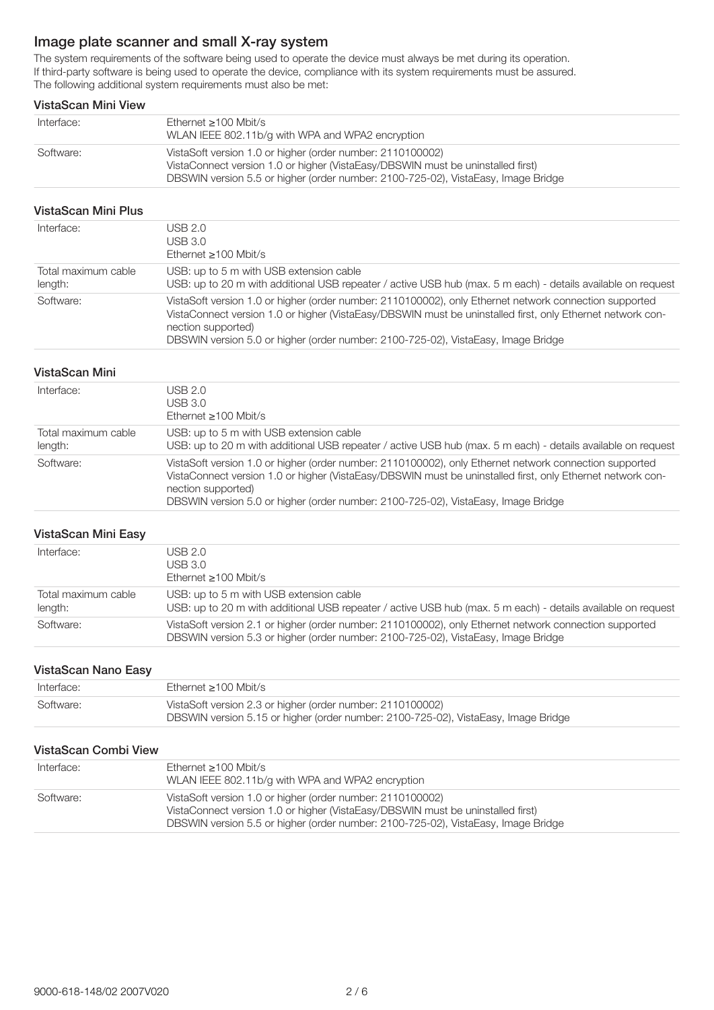# Image plate scanner and small X-ray system

The system requirements of the software being used to operate the device must always be met during its operation. If third-party software is being used to operate the device, compliance with its system requirements must be assured. The following additional system requirements must also be met:

#### VistaScan Mini View

| Interface: | Ethernet $>100$ Mbit/s<br>WLAN IEEE 802.11b/g with WPA and WPA2 encryption                                                                                                                                                         |
|------------|------------------------------------------------------------------------------------------------------------------------------------------------------------------------------------------------------------------------------------|
| Software:  | VistaSoft version 1.0 or higher (order number: 2110100002)<br>VistaConnect version 1.0 or higher (VistaEasy/DBSWIN must be uninstalled first)<br>DBSWIN version 5.5 or higher (order number: 2100-725-02), VistaEasy, Image Bridge |

#### VistaScan Mini Plus

| Interface:                     | USB 2.0<br>USB 3.0<br>Ethernet $\geq 100$ Mbit/s                                                                                                                                                                                                                                                                                |
|--------------------------------|---------------------------------------------------------------------------------------------------------------------------------------------------------------------------------------------------------------------------------------------------------------------------------------------------------------------------------|
| Total maximum cable<br>length: | USB: up to 5 m with USB extension cable<br>USB: up to 20 m with additional USB repeater / active USB hub (max. 5 m each) - details available on request                                                                                                                                                                         |
| Software:                      | VistaSoft version 1.0 or higher (order number: 2110100002), only Ethernet network connection supported<br>VistaConnect version 1.0 or higher (VistaEasy/DBSWIN must be uninstalled first, only Ethernet network con-<br>nection supported)<br>DBSWIN version 5.0 or higher (order number: 2100-725-02), VistaEasy, Image Bridge |

#### VistaScan Mini

| Interface:                     | USB 2.0<br>USB 3.0<br>Ethernet $\geq 100$ Mbit/s                                                                                                                                                                                                                                                                                |
|--------------------------------|---------------------------------------------------------------------------------------------------------------------------------------------------------------------------------------------------------------------------------------------------------------------------------------------------------------------------------|
| Total maximum cable<br>length: | USB: up to 5 m with USB extension cable<br>USB: up to 20 m with additional USB repeater / active USB hub (max. 5 m each) - details available on request                                                                                                                                                                         |
| Software:                      | VistaSoft version 1.0 or higher (order number: 2110100002), only Ethernet network connection supported<br>VistaConnect version 1.0 or higher (VistaEasy/DBSWIN must be uninstalled first, only Ethernet network con-<br>nection supported)<br>DBSWIN version 5.0 or higher (order number: 2100-725-02), VistaEasy, Image Bridge |

#### VistaScan Mini Easy

| Interface:                     | USB 2.0<br>USB 3.0<br>Ethernet $\geq 100$ Mbit/s                                                                                                                                            |
|--------------------------------|---------------------------------------------------------------------------------------------------------------------------------------------------------------------------------------------|
| Total maximum cable<br>length: | USB: up to 5 m with USB extension cable<br>USB: up to 20 m with additional USB repeater / active USB hub (max. 5 m each) - details available on request                                     |
| Software:                      | VistaSoft version 2.1 or higher (order number: 2110100002), only Ethernet network connection supported<br>DBSWIN version 5.3 or higher (order number: 2100-725-02), VistaEasy, Image Bridge |

#### VistaScan Nano Easy

| Interface: | Ethernet >100 Mbit/s                                                                                                                             |
|------------|--------------------------------------------------------------------------------------------------------------------------------------------------|
| Software:  | VistaSoft version 2.3 or higher (order number: 2110100002)<br>DBSWIN version 5.15 or higher (order number: 2100-725-02), VistaEasy, Image Bridge |

#### VistaScan Combi View

| Interface: | Ethernet $\geq 100$ Mbit/s<br>WLAN IEEE 802.11b/g with WPA and WPA2 encryption                                                                                                                                                     |
|------------|------------------------------------------------------------------------------------------------------------------------------------------------------------------------------------------------------------------------------------|
| Software:  | VistaSoft version 1.0 or higher (order number: 2110100002)<br>VistaConnect version 1.0 or higher (VistaEasy/DBSWIN must be uninstalled first)<br>DBSWIN version 5.5 or higher (order number: 2100-725-02), VistaEasy, Image Bridge |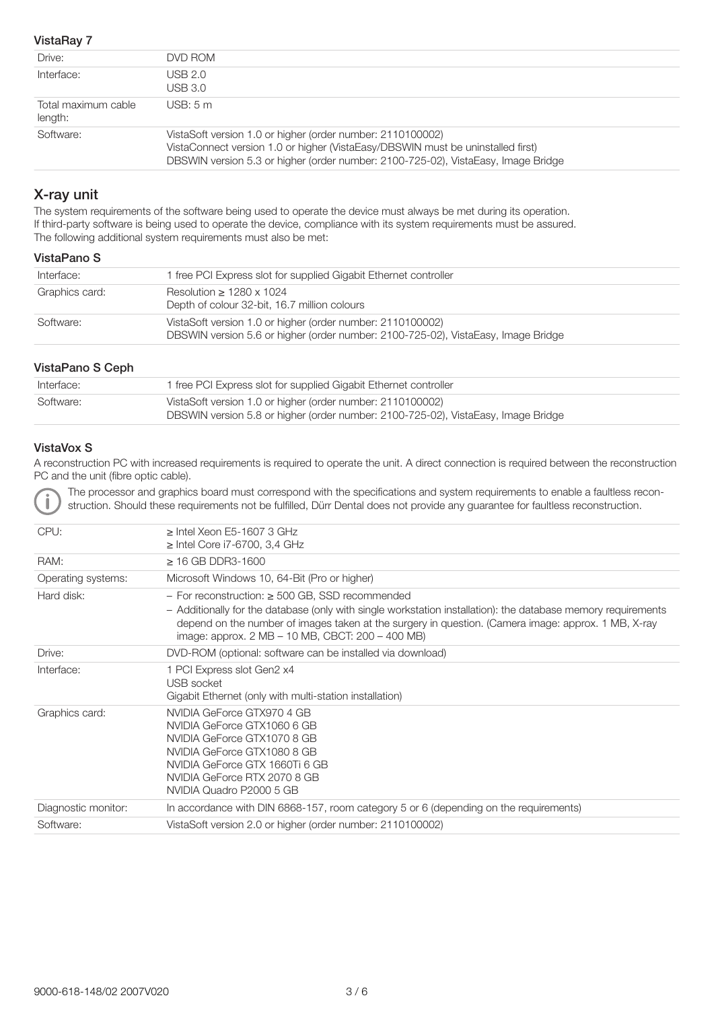#### VistaRay 7

| Drive:                         | DVD ROM                                                                                                                                                                                                                            |
|--------------------------------|------------------------------------------------------------------------------------------------------------------------------------------------------------------------------------------------------------------------------------|
| Interface:                     | USB 2.0<br>USB 3.0                                                                                                                                                                                                                 |
| Total maximum cable<br>length: | USB: 5m                                                                                                                                                                                                                            |
| Software:                      | VistaSoft version 1.0 or higher (order number: 2110100002)<br>VistaConnect version 1.0 or higher (VistaEasy/DBSWIN must be uninstalled first)<br>DBSWIN version 5.3 or higher (order number: 2100-725-02), VistaEasy, Image Bridge |

## X-ray unit

The system requirements of the software being used to operate the device must always be met during its operation. If third-party software is being used to operate the device, compliance with its system requirements must be assured. The following additional system requirements must also be met:

#### VistaPano S

| Interface:     | 1 free PCI Express slot for supplied Gigabit Ethernet controller                                                                                |
|----------------|-------------------------------------------------------------------------------------------------------------------------------------------------|
| Graphics card: | Resolution $\geq 1280 \times 1024$<br>Depth of colour 32-bit, 16.7 million colours                                                              |
| Software:      | VistaSoft version 1.0 or higher (order number: 2110100002)<br>DBSWIN version 5.6 or higher (order number: 2100-725-02), VistaEasy, Image Bridge |

#### VistaPano S Ceph

| Interface: | 1 free PCI Express slot for supplied Gigabit Ethernet controller                                                                                |
|------------|-------------------------------------------------------------------------------------------------------------------------------------------------|
| Software:  | VistaSoft version 1.0 or higher (order number: 2110100002)<br>DBSWIN version 5.8 or higher (order number: 2100-725-02), VistaEasy, Image Bridge |

#### VistaVox S

A reconstruction PC with increased requirements is required to operate the unit. A direct connection is required between the reconstruction PC and the unit (fibre optic cable).

The processor and graphics board must correspond with the specifications and system requirements to enable a faultless reconstruction. Should these requirements not be fulfilled, Dürr Dental does not provide any guarantee for faultless reconstruction.

| CPU:                | $\ge$ Intel Xeon E5-1607 3 GHz<br>$\geq$ Intel Core i7-6700, 3,4 GHz                                                                                                                                                                                                                                                             |
|---------------------|----------------------------------------------------------------------------------------------------------------------------------------------------------------------------------------------------------------------------------------------------------------------------------------------------------------------------------|
| RAM:                | $\geq$ 16 GB DDR3-1600                                                                                                                                                                                                                                                                                                           |
| Operating systems:  | Microsoft Windows 10, 64-Bit (Pro or higher)                                                                                                                                                                                                                                                                                     |
| Hard disk:          | - For reconstruction: $\geq 500$ GB, SSD recommended<br>- Additionally for the database (only with single workstation installation): the database memory requirements<br>depend on the number of images taken at the surgery in question. (Camera image: approx. 1 MB, X-ray<br>image: approx. 2 MB – 10 MB, CBCT: 200 – 400 MB) |
| Drive:              | DVD-ROM (optional: software can be installed via download)                                                                                                                                                                                                                                                                       |
| Interface:          | 1 PCI Express slot Gen2 x4<br>USB socket<br>Gigabit Ethernet (only with multi-station installation)                                                                                                                                                                                                                              |
| Graphics card:      | NVIDIA GeForce GTX970 4 GB<br>NVIDIA GeForce GTX1060 6 GB<br>NVIDIA GeForce GTX1070 8 GB<br>NVIDIA GeForce GTX1080 8 GB<br>NVIDIA GeForce GTX 1660Ti 6 GB<br>NVIDIA GeForce RTX 2070 8 GB<br>NVIDIA Quadro P2000 5 GB                                                                                                            |
| Diagnostic monitor: | In accordance with DIN 6868-157, room category 5 or 6 (depending on the requirements)                                                                                                                                                                                                                                            |
| Software:           | VistaSoft version 2.0 or higher (order number: 2110100002)                                                                                                                                                                                                                                                                       |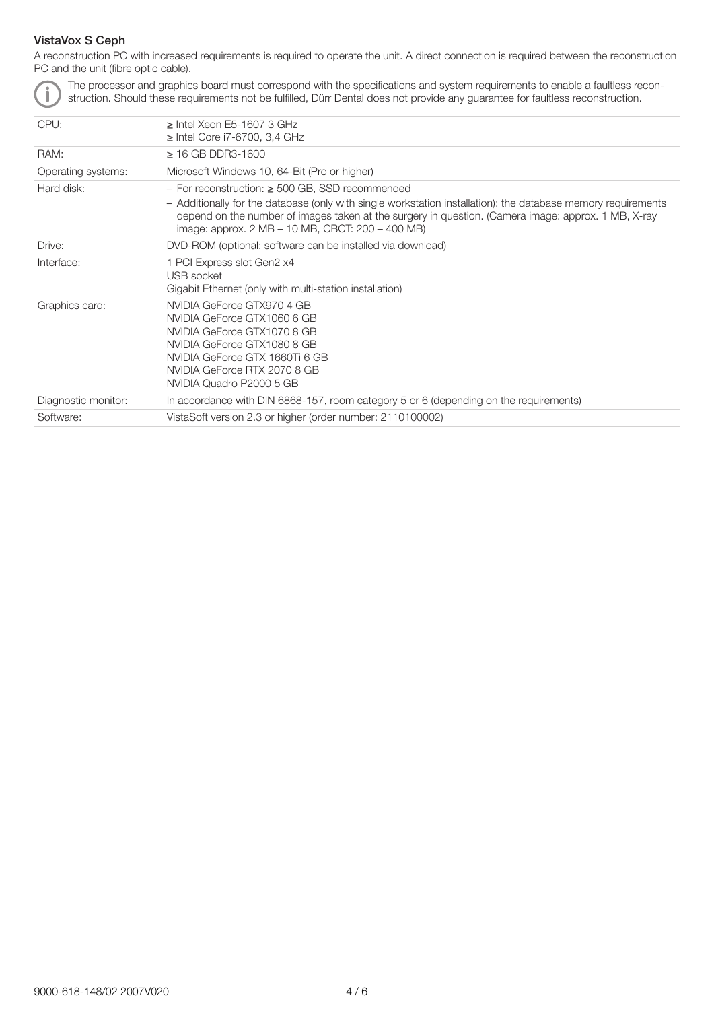### VistaVox S Ceph

A reconstruction PC with increased requirements is required to operate the unit. A direct connection is required between the reconstruction PC and the unit (fibre optic cable).



The processor and graphics board must correspond with the specifications and system requirements to enable a faultless reconstruction. Should these requirements not be fulfilled, Dürr Dental does not provide any guarantee for faultless reconstruction.

| CPU:                | $>$ Intel Xeon F5-1607 3 GHz<br>$\geq$ Intel Core i7-6700, 3,4 GHz                                                                                                                                                                                                       |
|---------------------|--------------------------------------------------------------------------------------------------------------------------------------------------------------------------------------------------------------------------------------------------------------------------|
| RAM:                | $\geq$ 16 GB DDR3-1600                                                                                                                                                                                                                                                   |
| Operating systems:  | Microsoft Windows 10, 64-Bit (Pro or higher)                                                                                                                                                                                                                             |
| Hard disk:          | $-$ For reconstruction: $\geq$ 500 GB, SSD recommended                                                                                                                                                                                                                   |
|                     | - Additionally for the database (only with single workstation installation): the database memory requirements<br>depend on the number of images taken at the surgery in question. (Camera image: approx. 1 MB, X-ray<br>image: approx. 2 MB – 10 MB, CBCT: 200 – 400 MB) |
| Drive:              | DVD-ROM (optional: software can be installed via download)                                                                                                                                                                                                               |
| Interface:          | 1 PCI Express slot Gen2 x4<br>USB socket<br>Gigabit Ethernet (only with multi-station installation)                                                                                                                                                                      |
| Graphics card:      | NVIDIA GeForce GTX970 4 GB<br>NVIDIA GeForce GTX1060 6 GB<br>NVIDIA GeForce GTX1070 8 GB<br>NVIDIA GeForce GTX1080 8 GB<br>NVIDIA GeForce GTX 1660Ti 6 GB<br>NVIDIA GeForce RTX 2070 8 GB<br>NVIDIA Quadro P2000 5 GB                                                    |
| Diagnostic monitor: | In accordance with DIN 6868-157, room category 5 or 6 (depending on the requirements)                                                                                                                                                                                    |
| Software:           | VistaSoft version 2.3 or higher (order number: 2110100002)                                                                                                                                                                                                               |
|                     |                                                                                                                                                                                                                                                                          |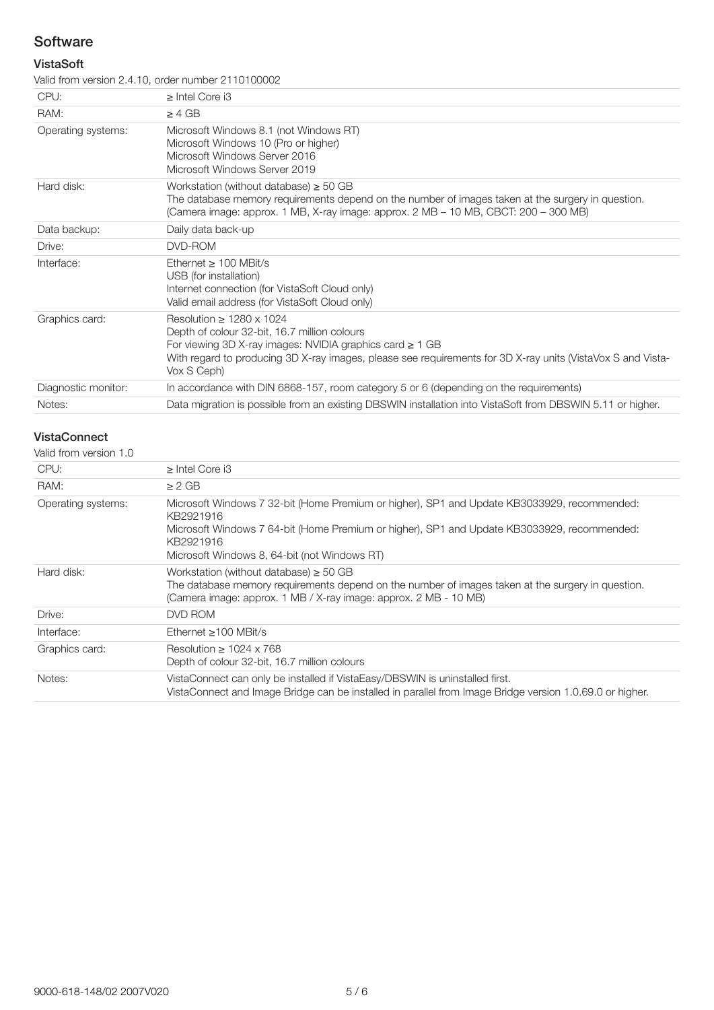# **Software**

### VistaSoft

Valid from version 2.4.10, order number 2110100002

| CPU:                | $\frac{1}{2}$ . The state of the state of the state of the state of the state of the state of the state of the state of the state of the state of the state of the state of the state of the state of the state of the state of t<br>$\geq$ Intel Core i3                      |
|---------------------|--------------------------------------------------------------------------------------------------------------------------------------------------------------------------------------------------------------------------------------------------------------------------------|
|                     |                                                                                                                                                                                                                                                                                |
| RAM:                | > 4 GB                                                                                                                                                                                                                                                                         |
| Operating systems:  | Microsoft Windows 8.1 (not Windows RT)<br>Microsoft Windows 10 (Pro or higher)<br>Microsoft Windows Server 2016<br>Microsoft Windows Server 2019                                                                                                                               |
| Hard disk:          | Workstation (without database) $\geq 50$ GB<br>The database memory requirements depend on the number of images taken at the surgery in question.<br>(Camera image: approx. 1 MB, X-ray image: approx. 2 MB – 10 MB, CBCT: 200 – 300 MB)                                        |
| Data backup:        | Daily data back-up                                                                                                                                                                                                                                                             |
| Drive:              | DVD-ROM                                                                                                                                                                                                                                                                        |
| Interface:          | Ethernet $> 100$ MBit/s<br>USB (for installation)<br>Internet connection (for VistaSoft Cloud only)<br>Valid email address (for VistaSoft Cloud only)                                                                                                                          |
| Graphics card:      | Resolution $> 1280 \times 1024$<br>Depth of colour 32-bit, 16.7 million colours<br>For viewing 3D X-ray images: NVIDIA graphics card $\geq 1$ GB<br>With regard to producing 3D X-ray images, please see requirements for 3D X-ray units (VistaVox S and Vista-<br>Vox S Ceph) |
| Diagnostic monitor: | In accordance with DIN 6868-157, room category 5 or 6 (depending on the requirements)                                                                                                                                                                                          |
| Notes:              | Data migration is possible from an existing DBSWIN installation into VistaSoft from DBSWIN 5.11 or higher.                                                                                                                                                                     |
|                     |                                                                                                                                                                                                                                                                                |

## VistaConnect

| Valid from version 1.0 |                                                                                                                                                                                                                                                                      |
|------------------------|----------------------------------------------------------------------------------------------------------------------------------------------------------------------------------------------------------------------------------------------------------------------|
| CPU:                   | $>$ Intel Core i3                                                                                                                                                                                                                                                    |
| RAM:                   | $> 2$ GB                                                                                                                                                                                                                                                             |
| Operating systems:     | Microsoft Windows 7 32-bit (Home Premium or higher), SP1 and Update KB3033929, recommended:<br>KB2921916<br>Microsoft Windows 7 64-bit (Home Premium or higher), SP1 and Update KB3033929, recommended:<br>KB2921916<br>Microsoft Windows 8, 64-bit (not Windows RT) |
| Hard disk:             | Workstation (without database) $\geq$ 50 GB<br>The database memory requirements depend on the number of images taken at the surgery in question.<br>(Camera image: approx. 1 MB / X-ray image: approx. 2 MB - 10 MB)                                                 |
| Drive:                 | DVD ROM                                                                                                                                                                                                                                                              |
| Interface:             | Ethernet $\geq 100$ MBit/s                                                                                                                                                                                                                                           |
| Graphics card:         | Resolution $\geq 1024 \times 768$<br>Depth of colour 32-bit, 16.7 million colours                                                                                                                                                                                    |
| Notes:                 | VistaConnect can only be installed if VistaEasy/DBSWIN is uninstalled first.<br>VistaConnect and Image Bridge can be installed in parallel from Image Bridge version 1.0.69.0 or higher.                                                                             |